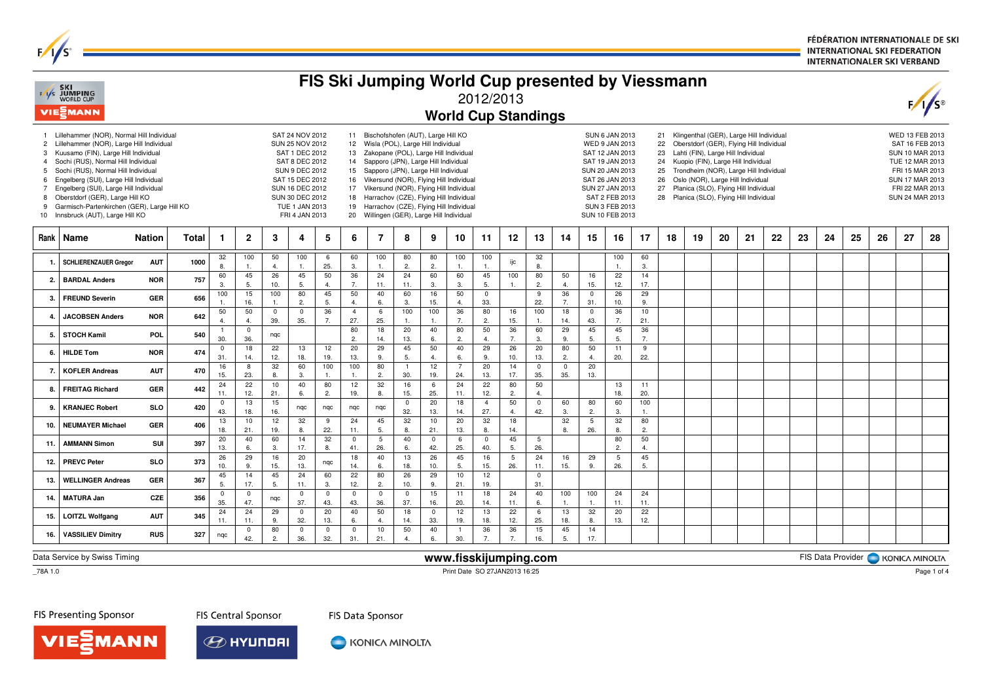FÉDÉRATION INTERNATIONALE DE SKI **INTERNATIONAL SKI FEDERATION INTERNATIONALER SKI VERBAND** 

| FIS Ski Jumping World Cup presented by Viessmann<br><b>SKI</b><br>F/I/S JUMPING<br>WORLD CUP<br>2012/2013<br>VIESMANN<br><b>World Cup Standings</b> |                                                                                                                                                                                                                                                                                                                                                                                                                        |               |       |                         |                      |                      |                                                                                                                                                                                              |                    |                       |                                                                                                                                                                                                                                                                                                                                                                                                                                           |                      |                       |                       |                       |                       |                                 | $\frac{1}{s}$        |                      |                                                                                                                                                                                                                                                                                                                                                                                                                                                                                                                                                                                            |                      |    |    |    |    |    |    |    |    |                                                                                                                                                      |    |    |  |  |  |  |  |
|-----------------------------------------------------------------------------------------------------------------------------------------------------|------------------------------------------------------------------------------------------------------------------------------------------------------------------------------------------------------------------------------------------------------------------------------------------------------------------------------------------------------------------------------------------------------------------------|---------------|-------|-------------------------|----------------------|----------------------|----------------------------------------------------------------------------------------------------------------------------------------------------------------------------------------------|--------------------|-----------------------|-------------------------------------------------------------------------------------------------------------------------------------------------------------------------------------------------------------------------------------------------------------------------------------------------------------------------------------------------------------------------------------------------------------------------------------------|----------------------|-----------------------|-----------------------|-----------------------|-----------------------|---------------------------------|----------------------|----------------------|--------------------------------------------------------------------------------------------------------------------------------------------------------------------------------------------------------------------------------------------------------------------------------------------------------------------------------------------------------------------------------------------------------------------------------------------------------------------------------------------------------------------------------------------------------------------------------------------|----------------------|----|----|----|----|----|----|----|----|------------------------------------------------------------------------------------------------------------------------------------------------------|----|----|--|--|--|--|--|
| $\overline{c}$<br>3<br>4<br>5<br>6<br>$\overline{7}$<br>8<br>9                                                                                      | Lillehammer (NOR), Normal Hill Individual<br>Lillehammer (NOR), Large Hill Individual<br>Kuusamo (FIN), Large Hill Individual<br>Sochi (RUS), Normal Hill Individual<br>Sochi (RUS), Normal Hill Individual<br>Engelberg (SUI), Large Hill Individual<br>Engelberg (SUI), Large Hill Individual<br>Oberstdorf (GER), Large Hill KO<br>Garmisch-Partenkirchen (GER), Large Hill KO<br>10 Innsbruck (AUT), Large Hill KO |               |       |                         |                      |                      | SAT 24 NOV 2012<br>SUN 25 NOV 2012<br>SAT 1 DEC 2012<br>SAT 8 DEC 2012<br><b>SUN 9 DEC 2012</b><br>SAT 15 DEC 2012<br>SUN 16 DEC 2012<br>SUN 30 DEC 2012<br>TUE 1 JAN 2013<br>FRI 4 JAN 2013 |                    | 14<br>15<br>17<br>19  | 11 Bischofshofen (AUT), Large Hill KO<br>12 Wisla (POL), Large Hill Individual<br>13 Zakopane (POL), Large Hill Individual<br>Sapporo (JPN), Large Hill Individual<br>Sapporo (JPN), Large Hill Individual<br>16 Vikersund (NOR), Flying Hill Individual<br>Vikersund (NOR), Flying Hill Individual<br>18 Harrachov (CZE), Flying Hill Individual<br>Harrachov (CZE), Flying Hill Individual<br>20 Willingen (GER), Large Hill Individual |                      |                       |                       |                       |                       |                                 |                      |                      | Klingenthal (GER), Large Hill Individual<br><b>SUN 6 JAN 2013</b><br>21<br>Oberstdorf (GER), Flying Hill Individual<br>WED 9 JAN 2013<br>22<br>Lahti (FIN), Large Hill Individual<br>SAT 12 JAN 2013<br>23<br>Kuopio (FIN), Large Hill Individual<br>SAT 19 JAN 2013<br>24<br>Trondheim (NOR), Large Hill Individual<br>SUN 20 JAN 2013<br>25<br>SAT 26 JAN 2013<br>Oslo (NOR), Large Hill Individual<br>26<br>SUN 27 JAN 2013<br>27<br>Planica (SLO), Flying Hill Individual<br>SAT 2 FEB 2013<br>Planica (SLO), Flying Hill Individual<br>28<br><b>SUN 3 FEB 2013</b><br>SUN 10 FEB 2013 |                      |    |    |    |    |    |    |    |    | WED 13 FEB 2013<br>SAT 16 FEB 2013<br>SUN 10 MAR 2013<br>TUE 12 MAR 2013<br>FRI 15 MAR 2013<br>SUN 17 MAR 2013<br>FRI 22 MAR 2013<br>SUN 24 MAR 2013 |    |    |  |  |  |  |  |
| <b>Rank</b>                                                                                                                                         | Name                                                                                                                                                                                                                                                                                                                                                                                                                   | <b>Nation</b> | Total | -1                      | $\mathbf{2}$         | 3                    | 4                                                                                                                                                                                            | 5                  | 6                     | 7                                                                                                                                                                                                                                                                                                                                                                                                                                         | 8                    | 9                     | 10                    | 11                    | 12                    | 13                              | 14                   | 15                   | 16                                                                                                                                                                                                                                                                                                                                                                                                                                                                                                                                                                                         | 17                   | 18 | 19 | 20 | 21 | 22 | 23 | 24 | 25 | 26                                                                                                                                                   | 27 | 28 |  |  |  |  |  |
| $\mathbf 1$                                                                                                                                         | <b>SCHLIERENZAUER Gregor</b>                                                                                                                                                                                                                                                                                                                                                                                           | <b>AUT</b>    | 1000  | 32<br>8.                | 100                  | 50<br>$\Delta$       | 100<br>1.                                                                                                                                                                                    | 6<br>25.           | 60<br>3.              | 100<br>1.                                                                                                                                                                                                                                                                                                                                                                                                                                 | 80<br>2.             | 80<br>$\overline{2}$  | 100<br>1.             | 100<br>$\mathbf{1}$ . | ijc                   | 32<br>8.                        |                      |                      | 100<br>$\overline{1}$                                                                                                                                                                                                                                                                                                                                                                                                                                                                                                                                                                      | 60<br>3.             |    |    |    |    |    |    |    |    |                                                                                                                                                      |    |    |  |  |  |  |  |
| 2.                                                                                                                                                  | <b>BARDAL Anders</b>                                                                                                                                                                                                                                                                                                                                                                                                   | <b>NOR</b>    | 757   | 60<br>3.                | 45<br>5.             | 26<br>10.            | 45<br>5.                                                                                                                                                                                     | 50<br>4.           | 36<br>7.              | 24<br>11.                                                                                                                                                                                                                                                                                                                                                                                                                                 | 24<br>11.            | 60<br>3.              | 60<br>3.              | 45<br>5.              | 100<br>$\mathbf{1}$ . | 80<br>2.                        | 50<br>$\overline{4}$ | 16<br>15.            | 22<br>12.                                                                                                                                                                                                                                                                                                                                                                                                                                                                                                                                                                                  | 14<br>17.            |    |    |    |    |    |    |    |    |                                                                                                                                                      |    |    |  |  |  |  |  |
| 3.                                                                                                                                                  | <b>FREUND Severin</b>                                                                                                                                                                                                                                                                                                                                                                                                  | <b>GER</b>    | 656   | 100<br>$\overline{1}$ . | 15<br>16.            | 100<br>$\mathbf{1}$  | 80<br>$\overline{2}$                                                                                                                                                                         | 45<br>5.           | 50<br>4.              | 40<br>6.                                                                                                                                                                                                                                                                                                                                                                                                                                  | 60<br>3.             | 16<br>15.             | 50<br>4.              | $\mathbf 0$<br>33.    |                       | 9<br>22.                        | 36<br>7.             | $\mathbf 0$<br>31.   | 26<br>10.                                                                                                                                                                                                                                                                                                                                                                                                                                                                                                                                                                                  | 29<br>9.             |    |    |    |    |    |    |    |    |                                                                                                                                                      |    |    |  |  |  |  |  |
| $\overline{4}$                                                                                                                                      | <b>JACOBSEN Anders</b>                                                                                                                                                                                                                                                                                                                                                                                                 | <b>NOR</b>    | 642   | 50<br>4.                | 50<br>$\overline{4}$ | $\mathbf 0$<br>39.   | $\mathbf 0$<br>35.                                                                                                                                                                           | 36<br>7.           | $\overline{4}$<br>27. | 6<br>25.                                                                                                                                                                                                                                                                                                                                                                                                                                  | 100<br>1.            | 100<br>$\overline{1}$ | 36<br>7.              | 80<br>2.              | 16<br>15.             | 100<br>$\mathbf{1}$             | 18<br>14.            | $\mathbf 0$<br>43.   | 36<br>7.                                                                                                                                                                                                                                                                                                                                                                                                                                                                                                                                                                                   | 10<br>21.            |    |    |    |    |    |    |    |    |                                                                                                                                                      |    |    |  |  |  |  |  |
| 5.                                                                                                                                                  | <b>STOCH Kamil</b>                                                                                                                                                                                                                                                                                                                                                                                                     | POL           | 540   |                         | $\mathbf 0$          | nqc                  |                                                                                                                                                                                              |                    | 80                    | 18                                                                                                                                                                                                                                                                                                                                                                                                                                        | 20                   | 40                    | 80                    | 50                    | 36                    | 60                              | 29                   | 45                   | 45                                                                                                                                                                                                                                                                                                                                                                                                                                                                                                                                                                                         | 36                   |    |    |    |    |    |    |    |    |                                                                                                                                                      |    |    |  |  |  |  |  |
| 6.                                                                                                                                                  | <b>HILDE Tom</b>                                                                                                                                                                                                                                                                                                                                                                                                       | <b>NOR</b>    | 474   | 30.<br>$\overline{0}$   | 36.<br>18            | 22                   | 13                                                                                                                                                                                           | 12                 | 2.<br>20              | 14.<br>29                                                                                                                                                                                                                                                                                                                                                                                                                                 | 13.<br>45            | 6.<br>50              | $\overline{2}$<br>40  | $\overline{4}$<br>29  | 7.<br>26              | 3.<br>20                        | 9<br>80              | 5<br>50              | 5.<br>11                                                                                                                                                                                                                                                                                                                                                                                                                                                                                                                                                                                   | 7.<br>9              |    |    |    |    |    |    |    |    |                                                                                                                                                      |    |    |  |  |  |  |  |
| 7.                                                                                                                                                  | <b>KOFLER Andreas</b>                                                                                                                                                                                                                                                                                                                                                                                                  | <b>AUT</b>    | 470   | 31.<br>16               | 14.<br>8             | 12.<br>32            | 18.<br>60                                                                                                                                                                                    | 19.<br>100         | 13.<br>100            | 9.<br>80                                                                                                                                                                                                                                                                                                                                                                                                                                  | 5.<br>$\overline{1}$ | $\overline{4}$<br>12  | 6.<br>$\overline{7}$  | 9.<br>20              | 10.<br>14             | 13.<br>$\mathbf 0$              | 2.<br>$\mathbf{0}$   | $\overline{a}$<br>20 | 20.                                                                                                                                                                                                                                                                                                                                                                                                                                                                                                                                                                                        | 22.                  |    |    |    |    |    |    |    |    |                                                                                                                                                      |    |    |  |  |  |  |  |
|                                                                                                                                                     |                                                                                                                                                                                                                                                                                                                                                                                                                        |               |       | 15.<br>24               | 23.<br>22            | $\mathbf{8}$<br>10   | 3.<br>40                                                                                                                                                                                     | $\mathbf{1}$<br>80 | $\mathbf{1}$ .<br>12  | 2.<br>32                                                                                                                                                                                                                                                                                                                                                                                                                                  | 30.<br>16            | 19.<br>6              | 24.<br>24             | 13.<br>22             | 17.<br>80             | 35.<br>50                       | 35.                  | 13.                  | 13                                                                                                                                                                                                                                                                                                                                                                                                                                                                                                                                                                                         | 11                   |    |    |    |    |    |    |    |    |                                                                                                                                                      |    |    |  |  |  |  |  |
| 8.                                                                                                                                                  | <b>FREITAG Richard</b>                                                                                                                                                                                                                                                                                                                                                                                                 | <b>GER</b>    | 442   | 11.<br>$\overline{0}$   | 12.<br>13            | 21.<br>15            | 6.                                                                                                                                                                                           | 2.                 | 19.                   | 8.                                                                                                                                                                                                                                                                                                                                                                                                                                        | 15.<br>$\mathbf 0$   | 25.<br>20             | 11.<br>18             | 12.<br>$\overline{4}$ | 2.<br>50              | $\overline{4}$ .<br>$\mathbf 0$ | 60                   | 80                   | 18.<br>60                                                                                                                                                                                                                                                                                                                                                                                                                                                                                                                                                                                  | 20.<br>100           |    |    |    |    |    |    |    |    |                                                                                                                                                      |    |    |  |  |  |  |  |
| 9.                                                                                                                                                  | <b>KRANJEC Robert</b>                                                                                                                                                                                                                                                                                                                                                                                                  | <b>SLO</b>    | 420   | 43.                     | 18.                  | 16.                  | nqc                                                                                                                                                                                          | nqc                | nqc                   | nqc                                                                                                                                                                                                                                                                                                                                                                                                                                       | 32.                  | 13.                   | 14.                   | 27.                   | 4.                    | 42.                             | 3.                   | 2.                   | 3.                                                                                                                                                                                                                                                                                                                                                                                                                                                                                                                                                                                         | 1.                   |    |    |    |    |    |    |    |    |                                                                                                                                                      |    |    |  |  |  |  |  |
| 10.                                                                                                                                                 | <b>NEUMAYER Michael</b>                                                                                                                                                                                                                                                                                                                                                                                                | <b>GER</b>    | 406   | 13<br>18.               | 10<br>21.            | 12<br>19.            | 32<br>8.                                                                                                                                                                                     | 9<br>22.           | 24<br>11.             | 45<br>5.                                                                                                                                                                                                                                                                                                                                                                                                                                  | 32<br>8.             | 10<br>21.             | 20<br>13.             | 32<br>8.              | 18<br>14.             |                                 | 32<br>8.             | 5<br>26.             | 32<br>8.                                                                                                                                                                                                                                                                                                                                                                                                                                                                                                                                                                                   | 80<br>2.             |    |    |    |    |    |    |    |    |                                                                                                                                                      |    |    |  |  |  |  |  |
| 11.                                                                                                                                                 | <b>AMMANN Simon</b>                                                                                                                                                                                                                                                                                                                                                                                                    | SUI           | 397   | 20<br>13.               | 40<br>6.             | 60<br>3              | 14<br>17.                                                                                                                                                                                    | 32<br>8.           | $\mathbf 0$<br>41.    | 5<br>26.                                                                                                                                                                                                                                                                                                                                                                                                                                  | 40<br>6.             | $\mathbf 0$<br>42.    | 6<br>25.              | $\mathbf 0$<br>40.    | 45<br>5.              | 5<br>26.                        |                      |                      | 80<br>$\overline{2}$                                                                                                                                                                                                                                                                                                                                                                                                                                                                                                                                                                       | 50<br>$\overline{a}$ |    |    |    |    |    |    |    |    |                                                                                                                                                      |    |    |  |  |  |  |  |
| 12.                                                                                                                                                 | <b>PREVC Peter</b>                                                                                                                                                                                                                                                                                                                                                                                                     | <b>SLO</b>    | 373   | 26                      | 29                   | 16                   | 20                                                                                                                                                                                           | nqc                | 18                    | 40                                                                                                                                                                                                                                                                                                                                                                                                                                        | 13                   | 26                    | 45                    | 16                    | 5                     | 24                              | 16                   | 29                   | 5                                                                                                                                                                                                                                                                                                                                                                                                                                                                                                                                                                                          | 45                   |    |    |    |    |    |    |    |    |                                                                                                                                                      |    |    |  |  |  |  |  |
| 13.                                                                                                                                                 | <b>WELLINGER Andreas</b>                                                                                                                                                                                                                                                                                                                                                                                               | <b>GER</b>    | 367   | 10.<br>45               | 9.<br>14             | 15.<br>45            | 13.<br>24                                                                                                                                                                                    | 60                 | 14.<br>22             | 6.<br>80                                                                                                                                                                                                                                                                                                                                                                                                                                  | 18.<br>26            | 10.<br>29             | 5.<br>10              | 15.<br>12             | 26.                   | 11.<br>$\mathbf 0$              | 15.                  | 9.                   | 26.                                                                                                                                                                                                                                                                                                                                                                                                                                                                                                                                                                                        | 5.                   |    |    |    |    |    |    |    |    |                                                                                                                                                      |    |    |  |  |  |  |  |
|                                                                                                                                                     |                                                                                                                                                                                                                                                                                                                                                                                                                        |               |       | 5.<br>$\overline{0}$    | 17.<br>$\Omega$      | 5.                   | 11.<br>$\mathbf 0$                                                                                                                                                                           | 3.<br>$\Omega$     | 12.<br>$\mathbf{0}$   | 2.<br>$\overline{0}$                                                                                                                                                                                                                                                                                                                                                                                                                      | 10.<br>$\Omega$      | 9.<br>15              | 21.<br>11             | 19.<br>18             | 24                    | 31.<br>40                       | 100                  | 100                  | 24                                                                                                                                                                                                                                                                                                                                                                                                                                                                                                                                                                                         | 24                   |    |    |    |    |    |    |    |    |                                                                                                                                                      |    |    |  |  |  |  |  |
| 14.                                                                                                                                                 | <b>MATURA Jan</b>                                                                                                                                                                                                                                                                                                                                                                                                      | CZE           | 356   | 35.                     | 47.                  | nqc                  | 37.                                                                                                                                                                                          | 43.                | 43.                   | 36.                                                                                                                                                                                                                                                                                                                                                                                                                                       | 37.                  | 16.                   | 20.                   | 14.                   | 11.                   | 6.                              | $\mathbf{1}$ .       |                      | 11.                                                                                                                                                                                                                                                                                                                                                                                                                                                                                                                                                                                        | 11.                  |    |    |    |    |    |    |    |    |                                                                                                                                                      |    |    |  |  |  |  |  |
| 15.                                                                                                                                                 | <b>LOITZL Wolfgang</b>                                                                                                                                                                                                                                                                                                                                                                                                 | <b>AUT</b>    | 345   | 24<br>11.               | 24<br>11.            | 29<br>9              | $\overline{0}$<br>32.                                                                                                                                                                        | 20<br>13.          | 40<br>6.              | 50<br>4.                                                                                                                                                                                                                                                                                                                                                                                                                                  | 18<br>14.            | $\mathbf{0}$<br>33.   | 12<br>19.             | 13<br>18.             | 22<br>12.             | 6<br>25.                        | 13<br>18.            | 32<br>8.             | 20<br>13.                                                                                                                                                                                                                                                                                                                                                                                                                                                                                                                                                                                  | 22<br>12.            |    |    |    |    |    |    |    |    |                                                                                                                                                      |    |    |  |  |  |  |  |
| 16.                                                                                                                                                 | <b>VASSILIEV Dimitry</b>                                                                                                                                                                                                                                                                                                                                                                                               | <b>RUS</b>    | 327   | nqc                     | $\mathbf 0$<br>42.   | 80<br>$\overline{2}$ | $\mathbf 0$<br>36.                                                                                                                                                                           | $\mathbf 0$<br>32. | $\mathbf 0$<br>31.    | 10<br>21.                                                                                                                                                                                                                                                                                                                                                                                                                                 | 50<br>$\overline{4}$ | 40<br>6.              | $\overline{1}$<br>30. | 36<br>7.              | 36<br>$\overline{7}$  | 15<br>16.                       | 45<br>5.             | 14<br>17.            |                                                                                                                                                                                                                                                                                                                                                                                                                                                                                                                                                                                            |                      |    |    |    |    |    |    |    |    |                                                                                                                                                      |    |    |  |  |  |  |  |
|                                                                                                                                                     |                                                                                                                                                                                                                                                                                                                                                                                                                        |               |       |                         |                      |                      |                                                                                                                                                                                              |                    |                       |                                                                                                                                                                                                                                                                                                                                                                                                                                           |                      |                       |                       |                       |                       |                                 |                      |                      |                                                                                                                                                                                                                                                                                                                                                                                                                                                                                                                                                                                            |                      |    |    |    |    |    |    |    |    |                                                                                                                                                      |    |    |  |  |  |  |  |

Data Service by Swiss Timing

 **www.fisskijumping.com**Print Date SO 27JAN2013 16:25

FIS Data Provider | KONICA MINOLTA

Page 1 of 4

 $\overline{\phantom{0}}$  78A 1.0

 $F/1/s^2$ 

FIS Presenting Sponsor

VIEZMANN

**FIS Central Sponsor** 

 $\circledR$  HYUNDAI



KONICA MINOLTA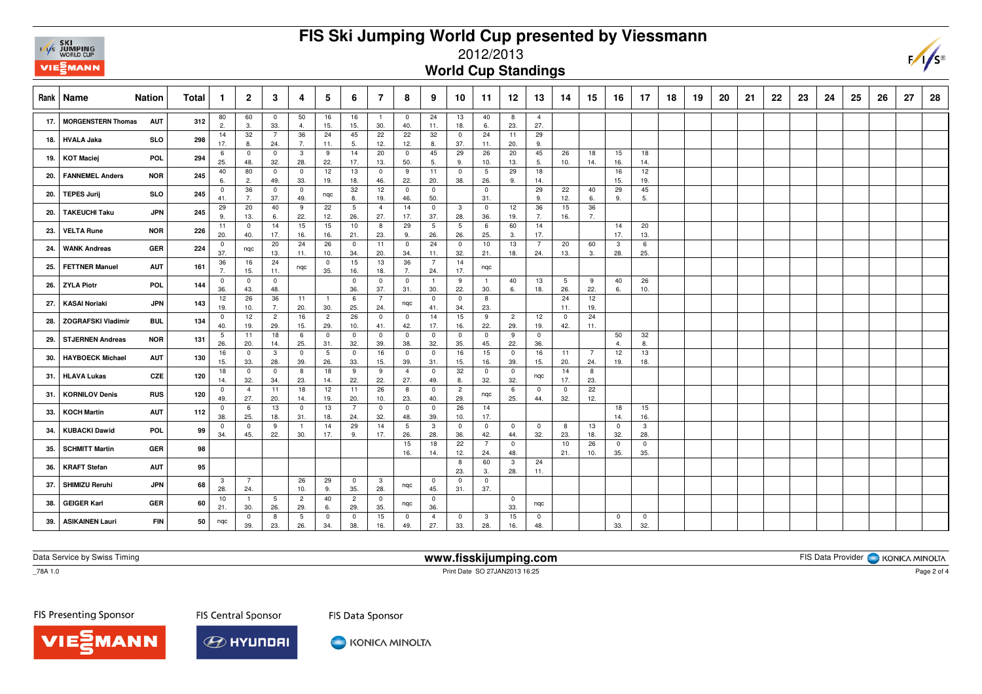## **FIS Ski Jumping World Cup presented by Viessmann**



## 2012/2013

**World Cup Standings**

| Rank | <b>Nation</b><br>Name                   | Total | -1                 | $\overline{2}$                 | 3                     | 4                     | 5                     | 6                     | $\overline{7}$        | 8                     | 9                     | 10                     | 11                    | 12                    | 13                    | 14                 | 15        | 16                   | 17                    | 18 | 19 | 20 | 21 | 22 | 23 | 24 | 25 | 26 | 27 | 28 |
|------|-----------------------------------------|-------|--------------------|--------------------------------|-----------------------|-----------------------|-----------------------|-----------------------|-----------------------|-----------------------|-----------------------|------------------------|-----------------------|-----------------------|-----------------------|--------------------|-----------|----------------------|-----------------------|----|----|----|----|----|----|----|----|----|----|----|
| 17.  | <b>MORGENSTERN Thomas</b><br><b>AUT</b> | 312   | 80<br>2.           | 60<br>3.                       | $\mathbf 0$<br>33.    | 50<br>4.              | 16<br>15.             | 16<br>15.             | $\overline{1}$<br>30. | $\mathbf 0$<br>40.    | 24<br>11.             | 13<br>18.              | 40<br>6.              | 8<br>23.              | $\overline{4}$<br>27. |                    |           |                      |                       |    |    |    |    |    |    |    |    |    |    |    |
| 18.  | <b>HVALA Jaka</b><br><b>SLO</b>         | 298   | 14<br>17.          | 32<br>8.                       | $\overline{7}$<br>24. | 36<br>7.              | 24<br>11.             | 45<br>5.              | 22<br>12.             | 22<br>12.             | 32<br>8.              | $\mathbf{0}$<br>37.    | 24<br>11.             | 11<br>20.             | 29<br>9.              |                    |           |                      |                       |    |    |    |    |    |    |    |    |    |    |    |
| 19.  | <b>KOT Maciej</b><br>POL                | 294   | -6<br>25.          | $\mathbf 0$<br>48.             | $\mathbf 0$<br>32.    | $\mathbf{3}$<br>28.   | 9<br>22.              | 14<br>17.             | 20<br>13.             | $\mathbf{0}$<br>50.   | 45<br>5.              | 29<br>9.               | 26<br>10.             | 20<br>13.             | 45<br>5.              | 26<br>10.          | 18<br>14. | 15<br>16.            | 18<br>14.             |    |    |    |    |    |    |    |    |    |    |    |
| 20.  | <b>FANNEMEL Anders</b><br><b>NOR</b>    | 245   | 40<br>6.           | 80<br>2.                       | $\mathbf 0$<br>49.    | $\mathbf 0$<br>33.    | 12<br>19.             | 13<br>18.             | $\mathbf{0}$<br>46.   | 9<br>22.              | 11<br>20.             | $\mathbf{0}$<br>38.    | 5<br>26.              | 29<br>9.              | 18<br>14.             |                    |           | 16<br>15.            | 12<br>19.             |    |    |    |    |    |    |    |    |    |    |    |
| 20.  | <b>TEPES Jurij</b><br><b>SLO</b>        | 245   | $^{\circ}$<br>41.  | 36<br>7.                       | $\mathbf 0$<br>37.    | $\mathbf 0$<br>49.    | nqc                   | 32<br>8.              | 12<br>19.             | $^{\circ}$<br>46.     | $\mathbf 0$<br>50.    |                        | $\mathbf 0$<br>31.    |                       | 29<br>9.              | 22<br>12.          | 40<br>6.  | 29<br>9.             | 45<br>5.              |    |    |    |    |    |    |    |    |    |    |    |
| 20.  | <b>TAKEUCHI Taku</b><br><b>JPN</b>      | 245   | 29<br>9.           | 20<br>13.                      | 40<br>6.              | 9<br>22.              | 22<br>12.             | 5<br>26.              | $\overline{4}$<br>27. | 14<br>17.             | $\overline{0}$<br>37. | $\mathbf{3}$<br>28.    | $\mathbf 0$<br>36.    | 12<br>19.             | 36<br>7.              | 15<br>16.          | 36<br>7.  |                      |                       |    |    |    |    |    |    |    |    |    |    |    |
| 23.  | <b>VELTA Rune</b><br><b>NOR</b>         | 226   | 11<br>20.          | $\overline{0}$<br>40.          | 14<br>17.             | 15<br>16.             | 15<br>16.             | 10<br>21.             | 8<br>23.              | 29<br>9.              | 5<br>26.              | $5\phantom{.0}$<br>26. | 6<br>25.              | 60<br>3.              | 14<br>17.             |                    |           | 14<br>17.            | 20<br>13.             |    |    |    |    |    |    |    |    |    |    |    |
| 24.  | GER<br><b>WANK Andreas</b>              | 224   | $\mathbf 0$<br>37. | nqc                            | 20<br>13.             | 24<br>11.             | 26<br>10.             | $^{\circ}$<br>34.     | 11<br>20.             | $\Omega$<br>34.       | 24<br>11.             | $\mathbf 0$<br>32.     | 10<br>21.             | 13<br>18.             | $\overline{7}$<br>24. | 20<br>13.          | 60<br>3.  | -3<br>28.            | 6<br>25.              |    |    |    |    |    |    |    |    |    |    |    |
| 25.  | <b>FETTNER Manuel</b><br><b>AUT</b>     | 161   | 36<br>7.           | 16<br>15.                      | 24<br>11.             | nqc                   | $\mathbf 0$<br>35.    | 15<br>16.             | 13<br>18.             | 36<br>7.              | $\overline{7}$<br>24. | 14<br>17.              | nqc                   |                       |                       |                    |           |                      |                       |    |    |    |    |    |    |    |    |    |    |    |
| 26.  | <b>ZYLA Piotr</b><br><b>POL</b>         | 144   | $\mathbf 0$<br>36. | - 0<br>43.                     | $\mathbf 0$<br>48.    |                       |                       | $\mathbf 0$<br>36.    | $\mathbf 0$<br>37.    | $\mathbf 0$<br>31.    | -1<br>30.             | 9<br>22.               | -1<br>30.             | 40<br>6.              | 13<br>18.             | 5<br>26.           | 9<br>22.  | 40<br>6.             | 26<br>10.             |    |    |    |    |    |    |    |    |    |    |    |
| 27.  | <b>KASAI Noriaki</b><br><b>JPN</b>      | 143   | 12<br>19.          | 26<br>10.                      | 36<br>7.              | 11<br>20.             | $\overline{1}$<br>30. | 6<br>25.              | $\overline{7}$<br>24. | nqc                   | $\mathbf 0$<br>41.    | $\mathbf 0$<br>34.     | 8<br>23.              |                       |                       | 24<br>11.          | 12<br>19. |                      |                       |    |    |    |    |    |    |    |    |    |    |    |
| -28. | <b>ZOGRAFSKI Vladimir</b><br><b>BUL</b> | 134   | $^{\circ}$<br>40.  | 12<br>19.                      | $\overline{c}$<br>29. | 16<br>15.             | $\overline{c}$<br>29. | 26<br>10.             | $\mathbf 0$<br>41.    | 0<br>42.              | 14<br>17.             | 15<br>16.              | 9<br>22.              | $\overline{2}$<br>29. | 12<br>19.             | $\mathbf 0$<br>42. | 24<br>11. |                      |                       |    |    |    |    |    |    |    |    |    |    |    |
| 29.  | <b>STJERNEN Andreas</b><br><b>NOR</b>   | 131   | -5<br>26.          | 11<br>20.                      | 18<br>14.             | 6<br>25.              | $\mathbf 0$<br>31.    | $\mathbf 0$<br>32.    | $\mathbf 0$<br>39.    | $^{\circ}$<br>38.     | $\mathbf 0$<br>32.    | $\mathbf 0$<br>35.     | $\mathbf 0$<br>45.    | 9<br>22.              | $\mathbf 0$<br>36.    |                    |           | 50<br>$\overline{a}$ | 32<br>8.              |    |    |    |    |    |    |    |    |    |    |    |
| 30.  | <b>HAYBOECK Michael</b><br><b>AUT</b>   | 130   | 16<br>15.          | $\overline{\mathbf{0}}$<br>33. | 3<br>28.              | $\mathbf 0$<br>39.    | 5<br>26.              | $\mathbf{0}$<br>33.   | 16<br>15.             | $\mathbf 0$<br>39.    | $\mathbf 0$<br>31.    | 16<br>15.              | 15<br>16.             | $\mathbf 0$<br>39.    | 16<br>15.             | 11<br>20.          | 7<br>24.  | 12<br>19.            | 13<br>18.             |    |    |    |    |    |    |    |    |    |    |    |
| 31.  | CZE<br><b>HLAVA Lukas</b>               | 120   | 18<br>14.          | $\overline{0}$<br>32.          | $\mathbf 0$<br>34.    | 8<br>23.              | 18<br>14.             | 9<br>22.              | 9<br>22.              | $\overline{4}$<br>27. | $\overline{0}$<br>49. | 32<br>8.               | $\mathbf{0}$<br>32.   | $\overline{0}$<br>32. | nqc                   | 14<br>17.          | 8<br>23.  |                      |                       |    |    |    |    |    |    |    |    |    |    |    |
| -31. | <b>KORNILOV Denis</b><br>RUS            | 120   | $^{\circ}$<br>49.  | $\overline{4}$<br>27.          | 11<br>20.             | 18<br>14.             | 12<br>19.             | 11<br>20.             | 26<br>10.             | 8<br>23.              | $\mathbf 0$<br>40.    | $\overline{c}$<br>29.  | nqc                   | 6<br>25.              | $\mathbf 0$<br>44.    | $\mathbf 0$<br>32. | 22<br>12. |                      |                       |    |    |    |    |    |    |    |    |    |    |    |
| 33.  | <b>KOCH Martin</b><br><b>AUT</b>        | 112   | $\mathbf 0$<br>38. | 6<br>25.                       | 13<br>18.             | $\mathbf 0$<br>31.    | 13<br>18.             | $\overline{7}$<br>24. | $\mathbf 0$<br>32.    | $^{\circ}$<br>48.     | $\mathbf 0$<br>39.    | 26<br>10.              | 14<br>17.             |                       |                       |                    |           | 18<br>14.            | 15<br>16.             |    |    |    |    |    |    |    |    |    |    |    |
| 34.  | KUBACKI Dawid<br><b>POL</b>             | 99    | $^{\circ}$<br>34.  | 0<br>45.                       | 9<br>22.              | -1<br>30.             | 14<br>17.             | 29<br>9.              | 14<br>17.             | 5<br>26.              | 3<br>28.              | $\mathbf{0}$<br>36.    | $\mathbf{0}$<br>42.   | 0<br>44.              | $\mathbf 0$<br>32.    | 8<br>23.           | 13<br>18. | $\mathbf 0$<br>32.   | $\mathbf{3}$<br>28.   |    |    |    |    |    |    |    |    |    |    |    |
| 35.  | <b>SCHMITT Martin</b><br><b>GER</b>     | 98    |                    |                                |                       |                       |                       |                       |                       | 15<br>16.             | 18<br>14.             | 22<br>12.              | $\overline{7}$<br>24. | $\mathbf 0$<br>48.    |                       | 10<br>21.          | 26<br>10. | $\mathbf 0$<br>35.   | $\overline{0}$<br>35. |    |    |    |    |    |    |    |    |    |    |    |
| 36.  | <b>KRAFT Stefan</b><br><b>AUT</b>       | 95    |                    |                                |                       |                       |                       |                       |                       |                       |                       | 8<br>23.               | 60<br>3.              | 3<br>28.              | 24<br>11.             |                    |           |                      |                       |    |    |    |    |    |    |    |    |    |    |    |
| 37.  | <b>SHIMIZU Reruhi</b><br><b>JPN</b>     | 68    | 3<br>28.           | $\overline{7}$<br>24.          |                       | 26<br>10.             | 29<br>9.              | $\mathbf 0$<br>35.    | $\mathbf{3}$<br>28.   | nqc                   | $\mathbf 0$<br>45.    | $\mathbf 0$<br>31.     | $\mathbf 0$<br>37.    |                       |                       |                    |           |                      |                       |    |    |    |    |    |    |    |    |    |    |    |
| 38.  | <b>GEIGER Karl</b><br>GER               | 60    | 10<br>21.          | - 1<br>30.                     | 5<br>26.              | $\overline{2}$<br>29. | 40<br>6.              | $\overline{2}$<br>29. | $\mathbf 0$<br>35.    | nqc                   | $\overline{0}$<br>36. |                        |                       | $\overline{0}$<br>33. | nqc                   |                    |           |                      |                       |    |    |    |    |    |    |    |    |    |    |    |
| 39.  | <b>FIN</b><br><b>ASIKAINEN Lauri</b>    | 50    | nqc                | $\overline{0}$<br>39.          | 8<br>23.              | 5<br>26.              | 0<br>34.              | 0<br>38.              | 15<br>16.             | $\mathbf 0$<br>49.    | $\overline{4}$<br>27. | $\mathbf{0}$<br>33.    | 3<br>28.              | 15<br>16.             | $\overline{0}$<br>48. |                    |           | $\mathbf 0$<br>33.   | $\mathbf 0$<br>32.    |    |    |    |    |    |    |    |    |    |    |    |

Data Service by Swiss Timing

**www.fisskijumping.com**

FIS Data Provider | KONICA MINOLTA

 $-78A$  1.0

Print Date SO 27JAN2013 16:25

FIS Presenting Sponsor

MANN

**FIS Central Sponsor** 



KONICA MINOLTA

FIS Data Sponsor

Page 2 of 4

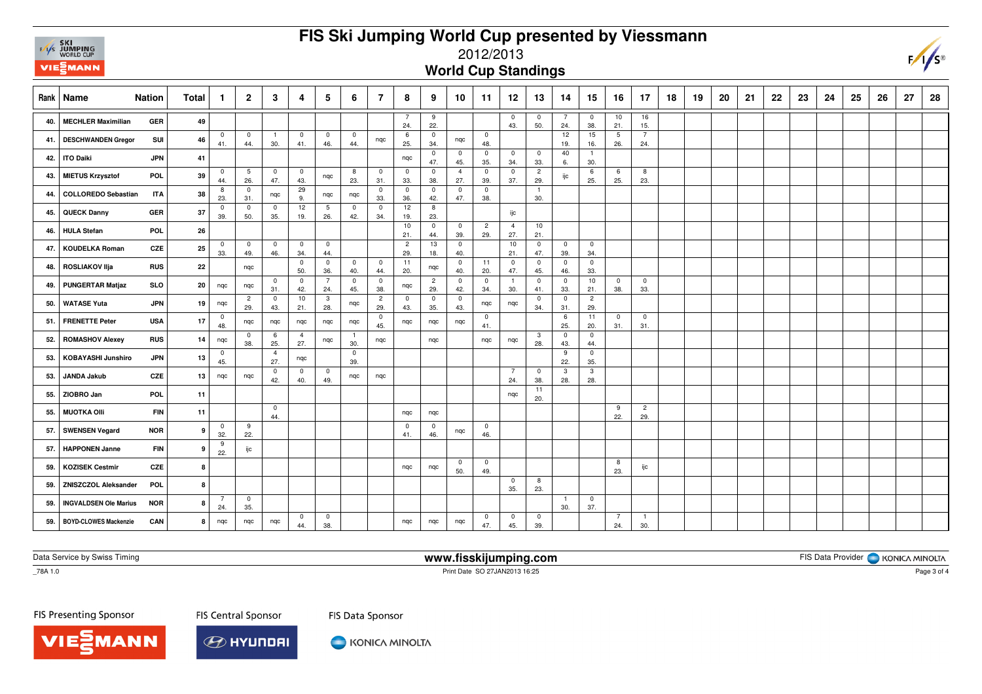## **FIS Ski Jumping World Cup presented by Viessmann**



## 2012/2013

**World Cup Standings**

| Rank | Name<br><b>Nation</b>        |            | <b>Total</b> | -1                    | $\overline{2}$                 | 3                     | 4                     | 5                     | 6                     | $\overline{7}$                 | 8                     | 9                     | 10                    | 11                    | 12                    | 13                    | 14                    | 15                    | 16                    | 17                             | 18 | 19 | 20 | 21 | 22 | 23 | 24 | 25 | 26 | 27 | 28 |
|------|------------------------------|------------|--------------|-----------------------|--------------------------------|-----------------------|-----------------------|-----------------------|-----------------------|--------------------------------|-----------------------|-----------------------|-----------------------|-----------------------|-----------------------|-----------------------|-----------------------|-----------------------|-----------------------|--------------------------------|----|----|----|----|----|----|----|----|----|----|----|
| 40   | <b>MECHLER Maximilian</b>    | <b>GER</b> | 49           |                       |                                |                       |                       |                       |                       |                                | $\overline{7}$<br>24. | 9<br>22.              |                       |                       | $\mathbf 0$<br>43.    | $\mathbf 0$<br>50.    | $\overline{7}$<br>24. | $\mathbf 0$<br>38.    | 10<br>21.             | 16<br>15.                      |    |    |    |    |    |    |    |    |    |    |    |
| 41.  | <b>DESCHWANDEN Gregor</b>    | SUI        | 46           | 0<br>41.              | $\mathbf 0$<br>44.             | -1<br>30.             | $\mathbf{0}$<br>41.   | $\mathbf 0$<br>46.    | $\overline{0}$<br>44. | nqc                            | 6<br>25.              | $\mathbf 0$<br>34.    | nqc                   | $\overline{0}$<br>48. |                       |                       | 12<br>19.             | 15<br>16.             | 5<br>26.              | $\overline{7}$<br>24.          |    |    |    |    |    |    |    |    |    |    |    |
| 42.  | <b>ITO Daiki</b>             | <b>JPN</b> | 41           |                       |                                |                       |                       |                       |                       |                                | nqc                   | $\mathbf 0$<br>47.    | $\mathbf{0}$<br>45.   | $\mathbf 0$<br>35.    | $\mathbf 0$<br>34.    | $\mathbf 0$<br>33.    | 40<br>6.              | $\overline{1}$<br>30. |                       |                                |    |    |    |    |    |    |    |    |    |    |    |
| 43.  | <b>MIETUS Krzysztof</b>      | <b>POL</b> | 39           | $\overline{0}$<br>44. | 5<br>26.                       | $\mathbf 0$<br>47.    | $\mathbf 0$<br>43.    | nqc                   | 8<br>23.              | $\overline{0}$<br>31.          | $\mathbf 0$<br>33.    | $\mathbf 0$<br>38.    | $\overline{4}$<br>27. | $\mathbf 0$<br>39.    | $\mathbf 0$<br>37.    | $\overline{c}$<br>29. | ijc                   | 6<br>25.              | 6<br>25.              | 8<br>23.                       |    |    |    |    |    |    |    |    |    |    |    |
| 44   | <b>COLLOREDO Sebastian</b>   | <b>ITA</b> | 38           | 8<br>23.              | $\overline{\mathbf{0}}$<br>31. | nqc                   | 29<br>9.              | nqc                   | nqc                   | $\overline{0}$<br>33.          | $^{\circ}$<br>36.     | $\overline{0}$<br>42. | $\mathbf 0$<br>47.    | $\mathbf 0$<br>38.    |                       | $\overline{1}$<br>30. |                       |                       |                       |                                |    |    |    |    |    |    |    |    |    |    |    |
| 45.  | <b>QUECK Danny</b>           | GER        | 37           | $\mathbf 0$<br>39.    | $\overline{\mathbf{0}}$<br>50. | $\mathbf 0$<br>35.    | 12<br>19.             | 5<br>26.              | $\mathbf 0$<br>42.    | $\overline{\mathbf{0}}$<br>34. | 12<br>19.             | 8<br>23.              |                       |                       | ijc                   |                       |                       |                       |                       |                                |    |    |    |    |    |    |    |    |    |    |    |
| 46.  | <b>HULA Stefan</b>           | <b>POL</b> | 26           |                       |                                |                       |                       |                       |                       |                                | 10<br>21.             | $\mathbf 0$<br>44.    | $\mathbf 0$<br>39.    | $\overline{2}$<br>29. | $\overline{4}$<br>27. | 10<br>21.             |                       |                       |                       |                                |    |    |    |    |    |    |    |    |    |    |    |
| 47.  | <b>KOUDELKA Roman</b>        | CZE        | 25           | $\mathbf 0$<br>33.    | $\overline{0}$<br>49.          | $\overline{0}$<br>46. | $\mathbf{0}$<br>34.   | $\mathbf{0}$<br>44.   |                       |                                | $\overline{2}$<br>29. | 13<br>18.             | $\mathbf{0}$<br>40.   |                       | 10<br>21.             | $\mathbf 0$<br>47.    | $\overline{0}$<br>39. | $\mathbf 0$<br>34.    |                       |                                |    |    |    |    |    |    |    |    |    |    |    |
| 48.  | <b>ROSLIAKOV IIja</b>        | RUS        | 22           |                       | nqc                            |                       | $\mathbf{0}$<br>50.   | $\overline{0}$<br>36. | $\mathbf 0$<br>40.    | $\overline{0}$<br>44.          | 11<br>20.             | nqc                   | $\mathbf{0}$<br>40.   | 11<br>20.             | $\overline{0}$<br>47. | $\mathbf 0$<br>45.    | $\overline{0}$<br>46. | $\overline{0}$<br>33. |                       |                                |    |    |    |    |    |    |    |    |    |    |    |
| 49.  | <b>PUNGERTAR Matjaz</b>      | <b>SLO</b> | 20           | nqc                   | nqc                            | $\mathbf 0$<br>31.    | $\mathbf 0$<br>42.    | $\overline{7}$<br>24. | $\mathbf 0$<br>45.    | $\overline{\mathbf{0}}$<br>38. | nqc                   | $\overline{c}$<br>29. | $\mathbf 0$<br>42.    | $\mathbf 0$<br>34.    | $\overline{1}$<br>30. | $\mathbf{0}$<br>41.   | $\overline{0}$<br>33. | 10<br>21.             | $\mathbf 0$<br>38.    | $\overline{0}$<br>33.          |    |    |    |    |    |    |    |    |    |    |    |
| 50.  | <b>WATASE Yuta</b>           | <b>JPN</b> | 19           | nqc                   | $\overline{2}$<br>29.          | $\mathbf 0$<br>43.    | 10<br>21.             | 3<br>28.              | nqc                   | $\overline{2}$<br>29.          | $\mathbf 0$<br>43.    | $\mathbf 0$<br>35.    | $\mathbf 0$<br>43.    | nqc                   | nqc                   | $^{\circ}$<br>34.     | $\overline{0}$<br>31. | $\overline{2}$<br>29. |                       |                                |    |    |    |    |    |    |    |    |    |    |    |
| 51.  | <b>FRENETTE Peter</b>        | <b>USA</b> | 17           | $\overline{0}$<br>48. | nqc                            | nqc                   | nqc                   | nqc                   | nqc                   | $\overline{0}$<br>45.          | nqc                   | nqc                   | nqc                   | $\mathbf 0$<br>41.    |                       |                       | 6<br>25.              | 11<br>20.             | $\overline{0}$<br>31. | $\overline{\mathbf{0}}$<br>31. |    |    |    |    |    |    |    |    |    |    |    |
| 52.  | <b>ROMASHOV Alexey</b>       | RUS        | 14           | nqc                   | - 0<br>38.                     | 6<br>25.              | $\overline{4}$<br>27. | nqc                   | $\overline{1}$<br>30. | nqc                            |                       | ngc                   |                       | nqc                   | nqc                   | 3<br>28.              | $\mathbf 0$<br>43.    | $\mathbf 0$<br>44.    |                       |                                |    |    |    |    |    |    |    |    |    |    |    |
| 53.  | <b>KOBAYASHI Junshiro</b>    | <b>JPN</b> | 13           | 0<br>45.              |                                | $\overline{4}$<br>27. | nqc                   |                       | $\mathbf 0$<br>39.    |                                |                       |                       |                       |                       |                       |                       | 9<br>22.              | $\mathbf 0$<br>35.    |                       |                                |    |    |    |    |    |    |    |    |    |    |    |
| 53.  | <b>JANDA Jakub</b>           | CZE        | 13           | nqc                   | nqc                            | $\mathbf 0$<br>42.    | $\mathbf 0$<br>40.    | $\mathbf 0$<br>49.    | nqc                   | nqc                            |                       |                       |                       |                       | $\overline{7}$<br>24. | $\mathbf 0$<br>38.    | $\mathbf{3}$<br>28.   | 3<br>28.              |                       |                                |    |    |    |    |    |    |    |    |    |    |    |
| 55.  | ZIOBRO Jan                   | POL        | 11           |                       |                                |                       |                       |                       |                       |                                |                       |                       |                       |                       | ngc                   | 11<br>20.             |                       |                       |                       |                                |    |    |    |    |    |    |    |    |    |    |    |
| 55.  | <b>MUOTKA OIII</b>           | <b>FIN</b> | 11           |                       |                                | $\mathbf 0$<br>44.    |                       |                       |                       |                                | nqc                   | ngc                   |                       |                       |                       |                       |                       |                       | 9<br>22.              | $\overline{2}$<br>29.          |    |    |    |    |    |    |    |    |    |    |    |
| 57   | <b>SWENSEN Vegard</b>        | <b>NOR</b> | 9            | 0<br>32.              | 9<br>22.                       |                       |                       |                       |                       |                                | $\mathbf 0$<br>41.    | 0<br>46.              | nqc                   | $\overline{0}$<br>46. |                       |                       |                       |                       |                       |                                |    |    |    |    |    |    |    |    |    |    |    |
| 57.  | <b>HAPPONEN Janne</b>        | <b>FIN</b> | 9            | 9<br>22.              | ijc                            |                       |                       |                       |                       |                                |                       |                       |                       |                       |                       |                       |                       |                       |                       |                                |    |    |    |    |    |    |    |    |    |    |    |
| 59.  | <b>KOZISEK Cestmir</b>       | CZE        | 8            |                       |                                |                       |                       |                       |                       |                                | nqc                   | nqc                   | $\mathbf 0$<br>50.    | $\mathbf 0$<br>49.    |                       |                       |                       |                       | 8<br>23.              | ijc                            |    |    |    |    |    |    |    |    |    |    |    |
| 59.  | <b>ZNISZCZOL Aleksander</b>  | <b>POL</b> | 8            |                       |                                |                       |                       |                       |                       |                                |                       |                       |                       |                       | $\mathbf 0$<br>35.    | 8<br>23.              |                       |                       |                       |                                |    |    |    |    |    |    |    |    |    |    |    |
| 59.  | <b>INGVALDSEN Ole Marius</b> | <b>NOR</b> | 8            | 7<br>24.              | $\overline{0}$<br>35.          |                       |                       |                       |                       |                                |                       |                       |                       |                       |                       |                       | $\overline{1}$<br>30. | 0<br>37.              |                       |                                |    |    |    |    |    |    |    |    |    |    |    |
| 59.  | <b>BOYD-CLOWES Mackenzie</b> | CAN        | 8            | nqc                   | nqc                            | nqc                   | $\mathbf{0}$<br>44.   | 0<br>38.              |                       |                                | nqc                   | nqc                   | nqc                   | $\mathbf 0$<br>47.    | $\mathbf{0}$<br>45.   | $\mathbf 0$<br>39.    |                       |                       | $\overline{7}$<br>24. | $\overline{1}$<br>30.          |    |    |    |    |    |    |    |    |    |    |    |

Data Service by Swiss Timing

MANN

**www.fisskijumping.com**

FIS Data Provider | KONICA MINOLTA

 $-78A$  1.0

Print Date SO 27JAN2013 16:25

FIS Presenting Sponsor

**FIS Central Sponsor** 



KONICA MINOLTA

FIS Data Sponsor

Page 3 of 4